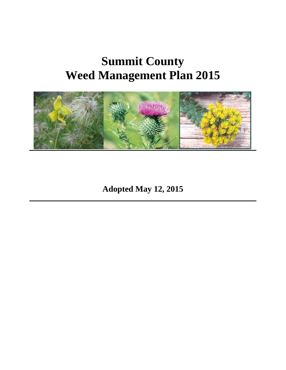# **Summit County Weed Management Plan 2015**



**Adopted May 12, 2015**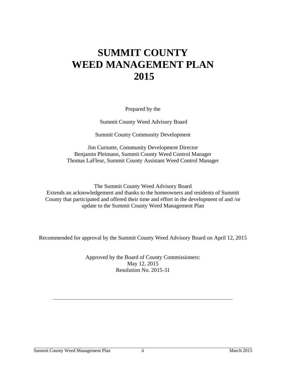## **SUMMIT COUNTY WEED MANAGEMENT PLAN 2015**

Prepared by the

Summit County Weed Advisory Board

Summit County Community Development

Jim Curnutte, Community Development Director Benjamin Pleimann, Summit County Weed Control Manager Thomas LaFleur, Summit County Assistant Weed Control Manager

The Summit County Weed Advisory Board Extends an acknowledgement and thanks to the homeowners and residents of Summit County that participated and offered their time and effort in the development of and /or update to the Summit County Weed Management Plan

Recommended for approval by the Summit County Weed Advisory Board on April 12, 2015

Approved by the Board of County Commissioners: May 12, 2015 Resolution No. 2015-31

\_\_\_\_\_\_\_\_\_\_\_\_\_\_\_\_\_\_\_\_\_\_\_\_\_\_\_\_\_\_\_\_\_\_\_\_\_\_\_\_\_\_\_\_\_\_\_\_\_\_\_\_\_\_\_\_\_\_\_\_\_\_\_\_\_\_\_\_\_\_\_\_\_\_\_\_\_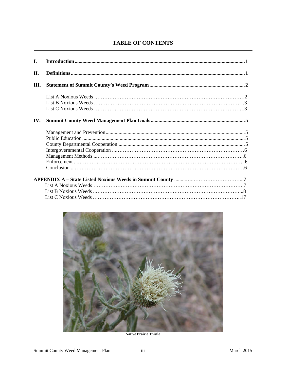## **TABLE OF CONTENTS**

| L.  |  |
|-----|--|
| II. |  |
| Ш.  |  |
|     |  |
|     |  |
|     |  |
| IV. |  |
|     |  |
|     |  |
|     |  |
|     |  |
|     |  |
|     |  |
|     |  |
|     |  |
|     |  |
|     |  |
|     |  |
|     |  |



**Native Prairie Thistle**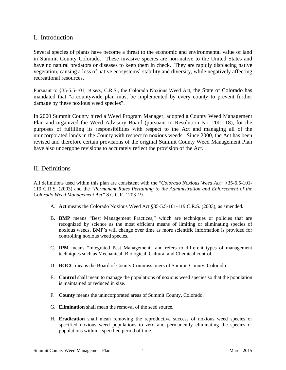## I. Introduction

Several species of plants have become a threat to the economic and environmental value of land in Summit County Colorado. These invasive species are non-native to the United States and have no natural predators or diseases to keep them in check. They are rapidly displacing native vegetation, causing a loss of native ecosystems` stability and diversity, while negatively affecting recreational resources.

Pursuant to §35-5.5-101, *et seq.*, C.R.S., the Colorado Noxious Weed Act, the State of Colorado has mandated that "a countywide plan must be implemented by every county to prevent further damage by these noxious weed species".

In 2000 Summit County hired a Weed Program Manager, adopted a County Weed Management Plan and organized the Weed Advisory Board (pursuant to Resolution No. 2001-18), for the purposes of fulfilling its responsibilities with respect to the Act and managing all of the unincorporated lands in the County with respect to noxious weeds. Since 2000, the Act has been revised and therefore certain provisions of the original Summit County Weed Management Plan have also undergone revisions to accurately reflect the provision of the Act.

## II. Definitions

All definitions used within this plan are consistent with the "*Colorado Noxious Weed Act"* §35-5.5-101- 119 C.R.S. (2003) and the "*Permanent Rules Pertaining to the Administration and Enforcement of the Colorado Weed Management Act"* 8 C.C.R. 1203-19.

- A. **Act** means the Colorado Noxious Weed Act §35-5.5-101-119 C.R.S. (2003), as amended.
- B. **BMP** means "Best Management Practices," which are techniques or policies that are recognized by science as the most efficient means of limiting or eliminating species of noxious weeds. BMP's will change over time as more scientific information is provided for controlling noxious weed species.
- C. **IPM** means "Integrated Pest Management" and refers to different types of management techniques such as Mechanical, Biological, Cultural and Chemical control.
- D. **BOCC** means the Board of County Commissioners of Summit County, Colorado.
- E. **Control** shall mean to manage the populations of noxious weed species so that the population is maintained or reduced in size.
- F. **County** means the unincorporated areas of Summit County, Colorado.
- G. **Elimination** shall mean the removal of the seed source.
- H. **Eradication** shall mean removing the reproductive success of noxious weed species or specified noxious weed populations to zero and permanently eliminating the species or populations within a specified period of time.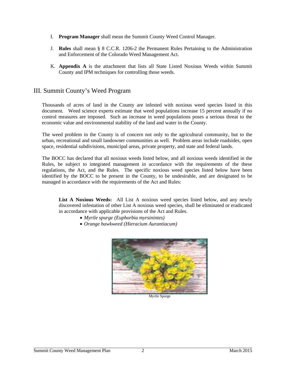- I. **Program Manager** shall mean the Summit County Weed Control Manager.
- J. **Rules** shall mean § 8 C.C.R. 1206-2 the Permanent Rules Pertaining to the Administration and Enforcement of the Colorado Weed Management Act.
- K. **Appendix A** is the attachment that lists all State Listed Noxious Weeds within Summit County and IPM techniques for controlling those weeds.

## III. Summit County's Weed Program

Thousands of acres of land in the County are infested with noxious weed species listed in this document. Weed science experts estimate that weed populations increase 15 percent annually if no control measures are imposed. Such an increase in weed populations poses a serious threat to the economic value and environmental stability of the land and water in the County.

The weed problem in the County is of concern not only to the agricultural community, but to the urban, recreational and small landowner communities as well. Problem areas include roadsides, open space, residential subdivisions, municipal areas, private property, and state and federal lands.

The BOCC has declared that all noxious weeds listed below, and all noxious weeds identified in the Rules, be subject to integrated management in accordance with the requirements of the these regulations, the Act, and the Rules. The specific noxious weed species listed below have been identified by the BOCC to be present in the County, to be undesirable, and are designated to be managed in accordance with the requirements of the Act and Rules:

**List A Noxious Weeds:** All List A noxious weed species listed below, and any newly discovered infestation of other List A noxious weed species, shall be eliminated or eradicated in accordance with applicable provisions of the Act and Rules.

- *Myrtle spurge (Euphorbia myrsinintes)*
- *Orange hawkweed (Hieracium Aurantiacum)*



Myrtle Spurge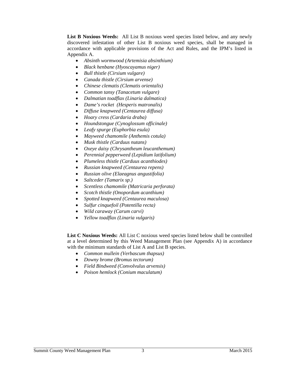**List B Noxious Weeds:** All List B noxious weed species listed below, and any newly discovered infestation of other List B noxious weed species, shall be managed in accordance with applicable provisions of the Act and Rules, and the IPM's listed in Appendix A.

- *Absinth wormwood (Artemisia absinthium)*
- *Black henbane (Hyoscayamus niger)*
- *Bull thistle (Cirsium vulgare)*
- *Canada thistle (Cirsium arvense)*
- *Chinese clematis (Clematis orientalis)*
- *Common tansy (Tanacetum vulgare)*
- *Dalmatian toadflax (Linaria dalmatica)*
- *Dame's rocket (Hesperis matronalis)*
- *Diffuse knapweed (Centaurea diffusa)*
- *Hoary cress (Cardaria draba)*
- *Houndstongue (Cynoglossum officinale)*
- *Leafy spurge (Euphorbia esula)*
- *Mayweed chamomile (Anthemis cotula)*
- *Musk thistle (Carduus nutans)*
- *Oxeye daisy (Chrysantheum leucanthemum)*
- *Perennial pepperweed (Lepidium latifolium)*
- *Plumeless thistle (Carduus acanthiodes)*
- *Russian knapweed (Centaurea repens)*
- *Russian olive (Elaeagnus angustifolia)*
- *Saltceder (Tamarix sp.)*
- *Scentless chamomile (Matricaria perforata)*
- *Scotch thistle (Onopordum acanthium)*
- *Spotted knapweed (Centaurea maculosa)*
- *Sulfur cinquefoil (Potentilla recta)*
- *Wild caraway (Carum carvi)*
- *Yellow toadflax (Linaria vulgaris)*

**List C Noxious Weeds:** All List C noxious weed species listed below shall be controlled at a level determined by this Weed Management Plan (see Appendix A) in accordance with the minimum standards of List A and List B species.

- *Common mullein (Verbascum thapsus)*
- *Downy brome (Bromus tectorum)*
- *Field Bindweed (Convolvulus arvensis)*
- *Poison hemlock (Conium maculatum)*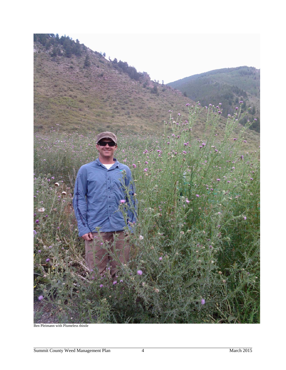

Ben Pleimann with Plumeless thistle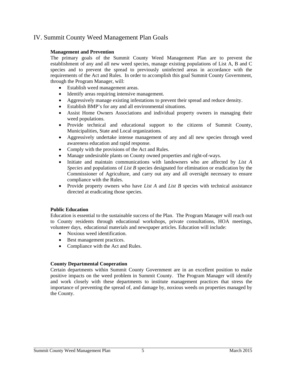## IV. Summit County Weed Management Plan Goals

#### **Management and Prevention**

The primary goals of the Summit County Weed Management Plan are to prevent the establishment of any and all new weed species, manage existing populations of List A, B and C species and to prevent the spread to previously uninfected areas in accordance with the requirements of the Act and Rules. In order to accomplish this goal Summit County Government, through the Program Manager, will:

- Establish weed management areas.
- Identify areas requiring intensive management.
- Aggressively manage existing infestations to prevent their spread and reduce density.
- Establish BMP's for any and all environmental situations.
- Assist Home Owners Associations and individual property owners in managing their weed populations.
- Provide technical and educational support to the citizens of Summit County, Municipalities, State and Local organizations.
- Aggressively undertake intense management of any and all new species through weed awareness education and rapid response.
- Comply with the provisions of the Act and Rules.
- Manage undesirable plants on County owned properties and right-of-ways.
- Initiate and maintain communications with landowners who are affected by *List A Species* and populations of *List B* species designated for elimination or eradication by the Commissioner of Agriculture, and carry out any and all oversight necessary to ensure compliance with the Rules.
- Provide property owners who have *List A* and *List B* species with technical assistance directed at eradicating those species.

#### **Public Education**

Education is essential to the sustainable success of the Plan. The Program Manager will reach out to County residents through educational workshops, private consultations, HOA meetings, volunteer days, educational materials and newspaper articles. Education will include:

- Noxious weed identification.
- Best management practices.
- Compliance with the Act and Rules.

#### **County Departmental Cooperation**

Certain departments within Summit County Government are in an excellent position to make positive impacts on the weed problem in Summit County. The Program Manager will identify and work closely with these departments to institute management practices that stress the importance of preventing the spread of, and damage by, noxious weeds on properties managed by the County.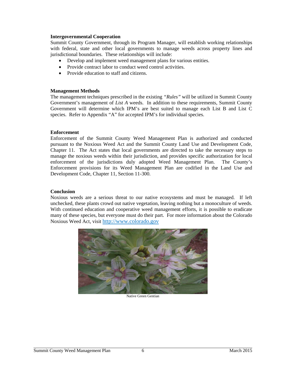#### **Intergovernmental Cooperation**

Summit County Government, through its Program Manager, will establish working relationships with federal, state and other local governments to manage weeds across property lines and jurisdictional boundaries. These relationships will include:

- Develop and implement weed management plans for various entities.
- Provide contract labor to conduct weed control activities.
- Provide education to staff and citizens.

#### **Management Methods**

The management techniques prescribed in the existing *"Rules"* will be utilized in Summit County Government's management of *List A* weeds. In addition to these requirements, Summit County Government will determine which IPM's are best suited to manage each List B and List C species. Refer to Appendix "A" for accepted IPM's for individual species.

#### **Enforcement**

Enforcement of the Summit County Weed Management Plan is authorized and conducted pursuant to the Noxious Weed Act and the Summit County Land Use and Development Code, Chapter 11. The Act states that local governments are directed to take the necessary steps to manage the noxious weeds within their jurisdiction, and provides specific authorization for local enforcement of the jurisdictions duly adopted Weed Management Plan. The County's Enforcement provisions for its Weed Management Plan are codified in the Land Use and Development Code, Chapter 11, Section 11-300.

#### **Conclusion**

Noxious weeds are a serious threat to our native ecosystems and must be managed. If left unchecked, these plants crowd out native vegetation, leaving nothing but a monoculture of weeds. With continued education and cooperative weed management efforts, it is possible to eradicate many of these species, but everyone must do their part. For more information about the Colorado Noxious Weed Act, visit http://www.colorado.gov



Native Green Gentian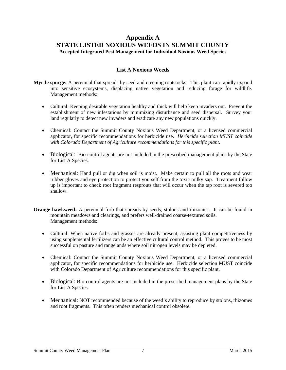## **Appendix A STATE LISTED NOXIOUS WEEDS IN SUMMIT COUNTY Accepted Integrated Pest Management for Individual Noxious Weed Species**

### **List A Noxious Weeds**

**Myrtle spurge:** A perennial that spreads by seed and creeping rootstocks. This plant can rapidly expand into sensitive ecosystems, displacing native vegetation and reducing forage for wildlife. Management methods:

- Cultural: Keeping desirable vegetation healthy and thick will help keep invaders out. Prevent the establishment of new infestations by minimizing disturbance and seed dispersal. Survey your land regularly to detect new invaders and eradicate any new populations quickly.
- Chemical: Contact the Summit County Noxious Weed Department, or a licensed commercial applicator, for specific recommendations for herbicide use. *Herbicide selection MUST coincide with Colorado Department of Agriculture recommendations for this specific plant.*
- Biological: Bio-control agents are not included in the prescribed management plans by the State for List A Species.
- Mechanical: Hand pull or dig when soil is moist. Make certain to pull all the roots and wear rubber gloves and eye protection to protect yourself from the toxic milky sap. Treatment follow up is important to check root fragment resprouts that will occur when the tap root is severed too shallow.
- **Orange hawkweed:** A perennial forb that spreads by seeds, stolons and rhizomes. It can be found in mountain meadows and clearings, and prefers well-drained coarse-textured soils. Management methods:
	- Cultural: When native forbs and grasses are already present, assisting plant competitiveness by using supplemental fertilizers can be an effective cultural control method. This proves to be most successful on pasture and rangelands where soil nitrogen levels may be depleted.
	- Chemical: Contact the Summit County Noxious Weed Department, or a licensed commercial applicator, for specific recommendations for herbicide use. Herbicide selection MUST coincide with Colorado Department of Agriculture recommendations for this specific plant.
	- Biological: Bio-control agents are not included in the prescribed management plans by the State for List A Species.
	- Mechanical: NOT recommended because of the weed's ability to reproduce by stolons, rhizomes and root fragments. This often renders mechanical control obsolete.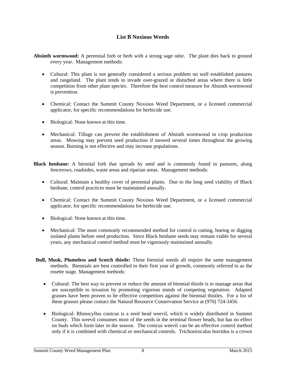#### **List B Noxious Weeds**

**Absinth wormwood:** A perennial forb or herb with a strong sage odor. The plant dies back to ground every year. Management methods:

- Cultural: This plant is not generally considered a serious problem on well established pastures and rangeland. The plant tends to invade over-grazed or disturbed areas where there is little competition from other plant species. Therefore the best control measure for Absinth wormwood is prevention.
- Chemical: Contact the Summit County Noxious Weed Department, or a licensed commercial applicator, for specific recommendations for herbicide use.
- Biological: None known at this time.
- Mechanical: Tillage can prevent the establishment of Absinth wormwood in crop production areas. Mowing may prevent seed production if mowed several times throughout the growing season. Burning is not effective and may increase populations.
- **Black henbane:** A biennial forb that spreads by seed and is commonly found in pastures, along fencerows, roadsides, waste areas and riparian areas. Management methods:
	- Cultural: Maintain a healthy cover of perennial plants. Due to the long seed viability of Black henbane, control practices must be maintained annually.
	- Chemical: Contact the Summit County Noxious Weed Department, or a licensed commercial applicator, for specific recommendations for herbicide use.
	- Biological: None known at this time.
	- Mechanical: The most commonly recommended method for control is cutting, hoeing or digging isolated plants before seed production. Since Black henbane seeds may remain viable for several years, any mechanical control method must be vigorously maintained annually.
- **Bull, Musk, Plumeless and Scotch thistle:** These biennial weeds all require the same management methods. Biennials are best controlled in their first year of growth, commonly referred to as the rosette stage. Management methods:
	- Cultural: The best way to prevent or reduce the amount of biennial thistle is to manage areas that are susceptible to invasion by promoting vigorous stands of competing vegetation. Adapted grasses have been proven to be effective competitors against the biennial thistles. For a list of these grasses please contact the Natural Resource Conservation Service at (970) 724-3456.
	- Biological: Rhinocyllus conicus is a seed head weevil, which is widely distributed in Summit County. This weevil consumes most of the seeds in the terminal flower heads, but has no effect on buds which form later in the season. The conicus weevil can be an effective control method only if it is combined with chemical or mechanical controls. Trichosirocalus horridus is a crown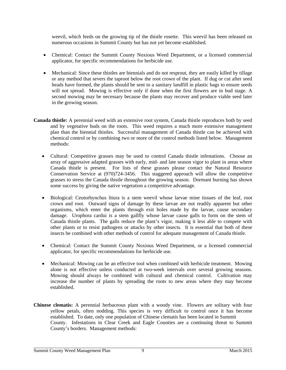weevil, which feeds on the growing tip of the thistle rosette. This weevil has been released on numerous occasions in Summit County but has not yet become established.

- Chemical: Contact the Summit County Noxious Weed Department, or a licensed commercial applicator, for specific recommendations for herbicide use.
- Mechanical: Since these thistles are biennials and do not resprout, they are easily killed by tillage or any method that severs the taproot below the root crown of the plant. If dug or cut after seed heads have formed, the plants should be sent to a sanitary landfill in plastic bags to ensure seeds will not spread. Mowing is effective only if done when the first flowers are in bud stage. A second mowing may be necessary because the plants may recover and produce viable seed later in the growing season.
- **Canada thistle:** A perennial weed with an extensive root system, Canada thistle reproduces both by seed and by vegetative buds on the roots. This weed requires a much more extensive management plan than the biennial thistles. Successful management of Canada thistle can be achieved with chemical control or by combining two or more of the control methods listed below. Management methods:
	- Cultural: Competitive grasses may be used to control Canada thistle infestations. Choose an array of aggressive adapted grasses with early, mid- and late season vigor to plant in areas where Canada thistle is present. For lists of these grasses please contact the Natural Resource Conservation Service at (970)724-3456. This staggered approach will allow the competitive grasses to stress the Canada thistle throughout the growing season. Dormant burning has shown some success by giving the native vegetation a competitive advantage.
	- Biological: Ceutorhynchus litura is a stem weevil whose larvae mine tissues of the leaf, root crown and root. Outward signs of damage by these larvae are not readily apparent but other organisms, which enter the plants through exit holes made by the larvae, cause secondary damage. Urophora cardui is a stem gallfly whose larvae cause galls to form on the stem of Canada thistle plants. The galls reduce the plant's vigor, making it less able to compete with other plants or to resist pathogens or attacks by other insects. It is essential that both of these insects be combined with other methods of control for adequate management of Canada thistle.
	- Chemical: Contact the Summit County Noxious Weed Department, or a licensed commercial applicator, for specific recommendations for herbicide use.
	- Mechanical: Mowing can be an effective tool when combined with herbicide treatment. Mowing alone is not effective unless conducted at two-week intervals over several growing seasons. Mowing should always be combined with cultural and chemical control. Cultivation may increase the number of plants by spreading the roots to new areas where they may become established.
- **Chinese clematis:** A perennial herbaceous plant with a woody vine. Flowers are solitary with four yellow petals, often nodding. This species is very difficult to control once it has become established. To date, only one population of Chinese clematis has been located in Summit County. Infestations in Clear Creek and Eagle Counties are a continuing threat to Summit County's borders. Management methods: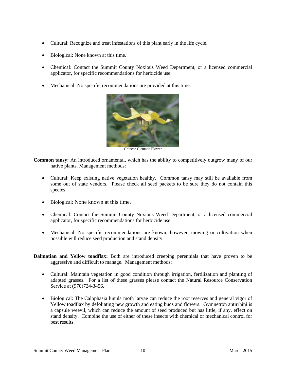- Cultural: Recognize and treat infestations of this plant early in the life cycle.
- Biological: None known at this time.
- Chemical: Contact the Summit County Noxious Weed Department, or a licensed commercial applicator, for specific recommendations for herbicide use.
- Mechanical: No specific recommendations are provided at this time.



Chinese Clematis Flower

- **Common tansy:** An introduced ornamental, which has the ability to competitively outgrow many of our native plants. Management methods:
	- Cultural: Keep existing native vegetation healthy. Common tansy may still be available from some out of state vendors. Please check all seed packets to be sure they do not contain this species.
	- Biological: None known at this time.
	- Chemical: Contact the Summit County Noxious Weed Department, or a licensed commercial applicator, for specific recommendations for herbicide use.
	- Mechanical: No specific recommendations are known; however, mowing or cultivation when possible will reduce seed production and stand density.
- **Dalmatian and Yellow toadflax:** Both are introduced creeping perennials that have proven to be aggressive and difficult to manage. Management methods:
	- Cultural: Maintain vegetation in good condition through irrigation, fertilization and planting of adapted grasses. For a list of these grasses please contact the Natural Resource Conservation Service at (970)724-3456.
	- Biological: The Calophasia lunula moth larvae can reduce the root reserves and general vigor of Yellow toadflax by defoliating new growth and eating buds and flowers. Gymnetron antirrhini is a capsule weevil, which can reduce the amount of seed produced but has little, if any, effect on stand density. Combine the use of either of these insects with chemical or mechanical control for best results.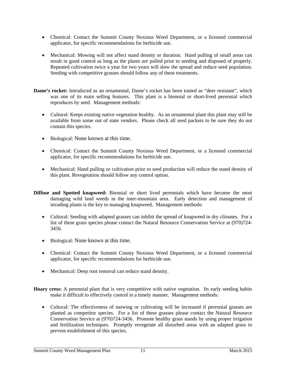- Chemical: Contact the Summit County Noxious Weed Department, or a licensed commercial applicator, for specific recommendations for herbicide use.
- Mechanical: Mowing will not affect stand density or duration. Hand pulling of small areas can result in good control as long as the plants are pulled prior to seeding and disposed of properly. Repeated cultivation twice a year for two years will slow the spread and reduce seed population. Seeding with competitive grasses should follow any of these treatments.
- **Dame's rocket:** Introduced as an ornamental, Dame's rocket has been touted as "deer resistant", which was one of its main selling features. This plant is a biennial or short-lived perennial which reproduces by seed. Management methods:
	- Cultural: Keeps existing native vegetation healthy. As an ornamental plant this plant may still be available from some out of state vendors. Please check all seed packets to be sure they do not contain this species.
	- Biological: None known at this time.
	- Chemical: Contact the Summit County Noxious Weed Department, or a licensed commercial applicator, for specific recommendations for herbicide use.
	- Mechanical: Hand pulling or cultivation prior to seed production will reduce the stand density of this plant. Revegetation should follow any control option.
- **Diffuse and Spotted knapweed:** Biennial or short lived perennials which have become the most damaging wild land weeds in the inter-mountain area. Early detection and management of invading plants is the key to managing knapweed. Management methods:
	- Cultural: Seeding with adapted grasses can inhibit the spread of knapweed in dry climates. For a list of these grass species please contact the Natural Resource Conservation Service at (970)724- 3456.
	- Biological: None known at this time.
	- Chemical: Contact the Summit County Noxious Weed Department, or a licensed commercial applicator, for specific recommendations for herbicide use.
	- Mechanical: Deep root removal can reduce stand density.

**Hoary cress:** A perennial plant that is very competitive with native vegetation. Its early seeding habits make it difficult to effectively control in a timely manner. Management methods:

 Cultural: The effectiveness of mowing or cultivating will be increased if perennial grasses are planted as competitor species. For a list of these grasses please contact the Natural Resource Conservation Service at (970)724-3456. Promote healthy grass stands by using proper irrigation and fertilization techniques. Promptly revegetate all disturbed areas with an adapted grass to prevent establishment of this species.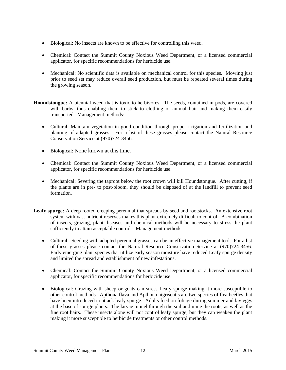- Biological: No insects are known to be effective for controlling this weed.
- Chemical: Contact the Summit County Noxious Weed Department, or a licensed commercial applicator, for specific recommendations for herbicide use.
- Mechanical: No scientific data is available on mechanical control for this species. Mowing just prior to seed set may reduce overall seed production, but must be repeated several times during the growing season.
- **Houndstongue:** A biennial weed that is toxic to herbivores. The seeds, contained in pods, are covered with barbs, thus enabling them to stick to clothing or animal hair and making them easily transported. Management methods:
	- Cultural: Maintain vegetation in good condition through proper irrigation and fertilization and planting of adapted grasses. For a list of these grasses please contact the Natural Resource Conservation Service at (970)724-3456.
	- Biological: None known at this time.
	- Chemical: Contact the Summit County Noxious Weed Department, or a licensed commercial applicator, for specific recommendations for herbicide use.
	- Mechanical: Severing the taproot below the root crown will kill Houndstongue. After cutting, if the plants are in pre- to post-bloom, they should be disposed of at the landfill to prevent seed formation.
- **Leafy spurge:** A deep rooted creeping perennial that spreads by seed and rootstocks. An extensive root system with vast nutrient reserves makes this plant extremely difficult to control. A combination of insects, grazing, plant diseases and chemical methods will be necessary to stress the plant sufficiently to attain acceptable control. Management methods:
	- Cultural: Seeding with adapted perennial grasses can be an effective management tool. For a list of these grasses please contact the Natural Resource Conservation Service at (970)724-3456. Early emerging plant species that utilize early season moisture have reduced Leafy spurge density and limited the spread and establishment of new infestations.
	- Chemical: Contact the Summit County Noxious Weed Department, or a licensed commercial applicator, for specific recommendations for herbicide use.
	- Biological: Grazing with sheep or goats can stress Leafy spurge making it more susceptible to other control methods. Apthona flava and Apthona nigriscutis are two species of flea beetles that have been introduced to attack leafy spurge. Adults feed on foliage during summer and lay eggs at the base of spurge plants. The larvae tunnel through the soil and mine the roots, as well as the fine root hairs. These insects alone will not control leafy spurge, but they can weaken the plant making it more susceptible to herbicide treatments or other control methods.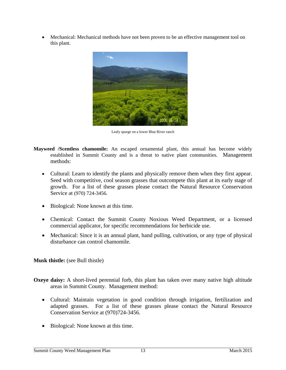Mechanical: Mechanical methods have not been proven to be an effective management tool on this plant.



Leafy spurge on a lower Blue River ranch

- **Mayweed /Scentless chamomile:** An escaped ornamental plant, this annual has become widely established in Summit County and is a threat to native plant communities. Management methods:
	- Cultural: Learn to identify the plants and physically remove them when they first appear. Seed with competitive, cool season grasses that outcompete this plant at its early stage of growth. For a list of these grasses please contact the Natural Resource Conservation Service at (970) 724-3456.
	- Biological: None known at this time.
	- Chemical: Contact the Summit County Noxious Weed Department, or a licensed commercial applicator, for specific recommendations for herbicide use.
	- Mechanical: Since it is an annual plant, hand pulling, cultivation, or any type of physical disturbance can control chamomile.

#### **Musk thistle:** (see Bull thistle)

- **Oxeye daisy:** A short-lived perennial forb, this plant has taken over many native high altitude areas in Summit County. Management method:
	- Cultural: Maintain vegetation in good condition through irrigation, fertilization and adapted grasses. For a list of these grasses please contact the Natural Resource Conservation Service at (970)724-3456.
	- Biological: None known at this time.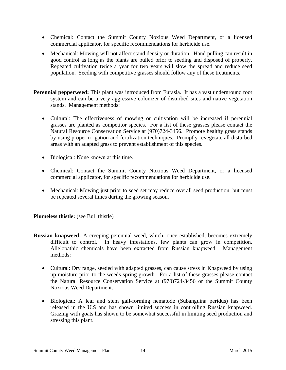- Chemical: Contact the Summit County Noxious Weed Department, or a licensed commercial applicator, for specific recommendations for herbicide use.
- Mechanical: Mowing will not affect stand density or duration. Hand pulling can result in good control as long as the plants are pulled prior to seeding and disposed of properly. Repeated cultivation twice a year for two years will slow the spread and reduce seed population. Seeding with competitive grasses should follow any of these treatments.
- **Perennial pepperweed:** This plant was introduced from Eurasia. It has a vast underground root system and can be a very aggressive colonizer of disturbed sites and native vegetation stands. Management methods:
	- Cultural: The effectiveness of mowing or cultivation will be increased if perennial grasses are planted as competitor species. For a list of these grasses please contact the Natural Resource Conservation Service at (970)724-3456. Promote healthy grass stands by using proper irrigation and fertilization techniques. Promptly revegetate all disturbed areas with an adapted grass to prevent establishment of this species.
	- Biological: None known at this time.
	- Chemical: Contact the Summit County Noxious Weed Department, or a licensed commercial applicator, for specific recommendations for herbicide use.
	- Mechanical: Mowing just prior to seed set may reduce overall seed production, but must be repeated several times during the growing season.

**Plumeless thistle:** (see Bull thistle)

- **Russian knapweed:** A creeping perennial weed, which, once established, becomes extremely difficult to control. In heavy infestations, few plants can grow in competition. Allelopathic chemicals have been extracted from Russian knapweed. Management methods:
	- Cultural: Dry range, seeded with adapted grasses, can cause stress in Knapweed by using up moisture prior to the weeds spring growth. For a list of these grasses please contact the Natural Resource Conservation Service at (970)724-3456 or the Summit County Noxious Weed Department.
	- Biological: A leaf and stem gall-forming nematode (Subanguina peridus) has been released in the U.S and has shown limited success in controlling Russian knapweed. Grazing with goats has shown to be somewhat successful in limiting seed production and stressing this plant.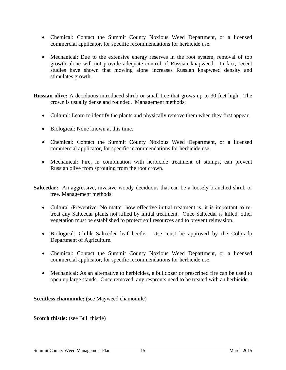- Chemical: Contact the Summit County Noxious Weed Department, or a licensed commercial applicator, for specific recommendations for herbicide use.
- Mechanical: Due to the extensive energy reserves in the root system, removal of top growth alone will not provide adequate control of Russian knapweed. In fact, recent studies have shown that mowing alone increases Russian knapweed density and stimulates growth.

**Russian olive:** A deciduous introduced shrub or small tree that grows up to 30 feet high. The crown is usually dense and rounded. Management methods:

- Cultural: Learn to identify the plants and physically remove them when they first appear.
- Biological: None known at this time.
- Chemical: Contact the Summit County Noxious Weed Department, or a licensed commercial applicator, for specific recommendations for herbicide use.
- Mechanical: Fire, in combination with herbicide treatment of stumps, can prevent Russian olive from sprouting from the root crown.
- **Saltcedar:** An aggressive, invasive woody deciduous that can be a loosely branched shrub or tree. Management methods:
	- Cultural /Preventive: No matter how effective initial treatment is, it is important to retreat any Saltcedar plants not killed by initial treatment. Once Saltcedar is killed, other vegetation must be established to protect soil resources and to prevent reinvasion.
	- Biological: Chilik Saltceder leaf beetle. Use must be approved by the Colorado Department of Agriculture.
	- Chemical: Contact the Summit County Noxious Weed Department, or a licensed commercial applicator, for specific recommendations for herbicide use.
	- Mechanical: As an alternative to herbicides, a bulldozer or prescribed fire can be used to open up large stands. Once removed, any resprouts need to be treated with an herbicide.

**Scentless chamomile:** (see Mayweed chamomile)

**Scotch thistle:** (see Bull thistle)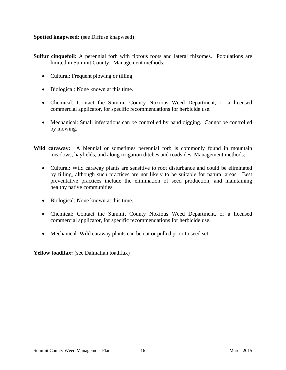**Spotted knapweed:** (see Diffuse knapweed)

**Sulfur cinquefoil:** A perennial forb with fibrous roots and lateral rhizomes. Populations are limited in Summit County. Management methods:

- Cultural: Frequent plowing or tilling.
- Biological: None known at this time.
- Chemical: Contact the Summit County Noxious Weed Department, or a licensed commercial applicator, for specific recommendations for herbicide use.
- Mechanical: Small infestations can be controlled by hand digging. Cannot be controlled by mowing.
- Wild caraway: A biennial or sometimes perennial forb is commonly found in mountain meadows, hayfields, and along irrigation ditches and roadsides. Management methods:
	- Cultural: Wild caraway plants are sensitive to root disturbance and could be eliminated by tilling, although such practices are not likely to be suitable for natural areas. Best preventative practices include the elimination of seed production, and maintaining healthy native communities.
	- Biological: None known at this time.
	- Chemical: Contact the Summit County Noxious Weed Department, or a licensed commercial applicator, for specific recommendations for herbicide use.
	- Mechanical: Wild caraway plants can be cut or pulled prior to seed set.

Yellow toadflax: (see Dalmatian toadflax)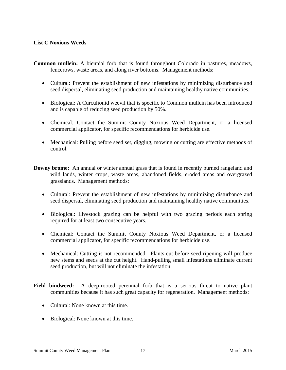## **List C Noxious Weeds**

- **Common mullein:** A biennial forb that is found throughout Colorado in pastures, meadows, fencerows, waste areas, and along river bottoms. Management methods:
	- Cultural: Prevent the establishment of new infestations by minimizing disturbance and seed dispersal, eliminating seed production and maintaining healthy native communities.
	- Biological: A Curculionid weevil that is specific to Common mullein has been introduced and is capable of reducing seed production by 50%.
	- Chemical: Contact the Summit County Noxious Weed Department, or a licensed commercial applicator, for specific recommendations for herbicide use.
	- Mechanical: Pulling before seed set, digging, mowing or cutting are effective methods of control.
- **Downy brome:** An annual or winter annual grass that is found in recently burned rangeland and wild lands, winter crops, waste areas, abandoned fields, eroded areas and overgrazed grasslands. Management methods:
	- Cultural: Prevent the establishment of new infestations by minimizing disturbance and seed dispersal, eliminating seed production and maintaining healthy native communities.
	- Biological: Livestock grazing can be helpful with two grazing periods each spring required for at least two consecutive years.
	- Chemical: Contact the Summit County Noxious Weed Department, or a licensed commercial applicator, for specific recommendations for herbicide use.
	- Mechanical: Cutting is not recommended. Plants cut before seed ripening will produce new stems and seeds at the cut height. Hand-pulling small infestations eliminate current seed production, but will not eliminate the infestation.
- **Field bindweed:** A deep-rooted perennial forb that is a serious threat to native plant communities because it has such great capacity for regeneration. Management methods:
	- Cultural: None known at this time.
	- Biological: None known at this time.